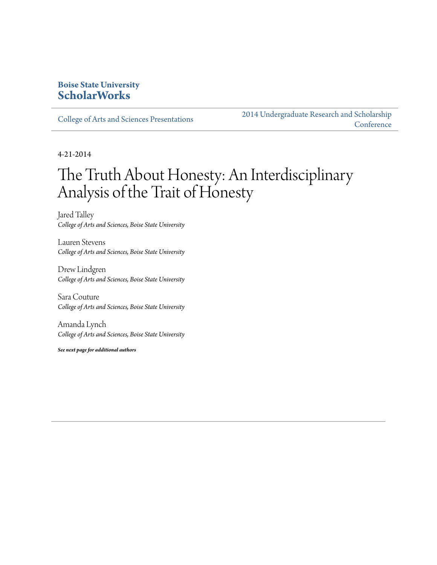### **Boise State University [ScholarWorks](http://scholarworks.boisestate.edu)**

[College of Arts and Sciences Presentations](http://scholarworks.boisestate.edu/as_14)

[2014 Undergraduate Research and Scholarship](http://scholarworks.boisestate.edu/2014_under_conf) **[Conference](http://scholarworks.boisestate.edu/2014_under_conf)** 

4-21-2014

### The Truth About Honesty: An Interdisciplinary Analysis of the Trait of Honesty

Jared Talley *College of Arts and Sciences, Boise State University*

Lauren Stevens *College of Arts and Sciences, Boise State University*

Drew Lindgren *College of Arts and Sciences, Boise State University*

Sara Couture *College of Arts and Sciences, Boise State University*

Amanda Lynch *College of Arts and Sciences, Boise State University*

*See next page for additional authors*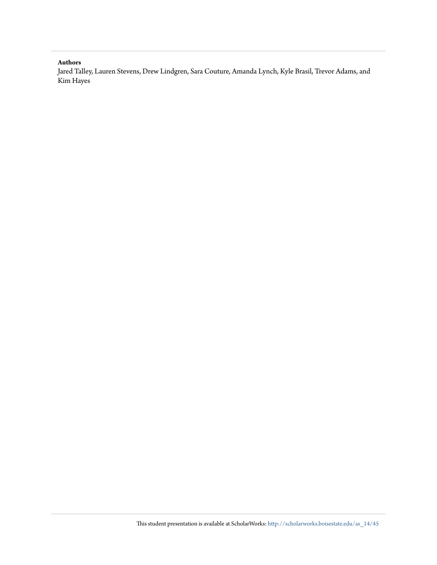### **Authors**

Jared Talley, Lauren Stevens, Drew Lindgren, Sara Couture, Amanda Lynch, Kyle Brasil, Trevor Adams, and Kim Hayes